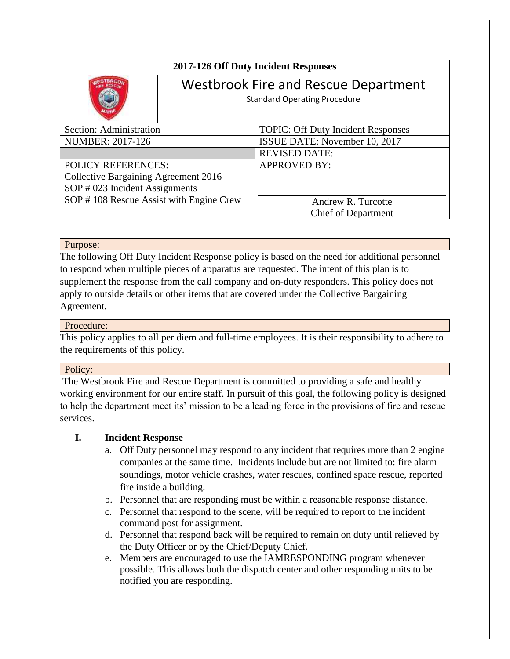| 2017-126 Off Duty Incident Responses    |                                                                                    |                                           |
|-----------------------------------------|------------------------------------------------------------------------------------|-------------------------------------------|
|                                         | <b>Westbrook Fire and Rescue Department</b><br><b>Standard Operating Procedure</b> |                                           |
| Section: Administration                 |                                                                                    | <b>TOPIC: Off Duty Incident Responses</b> |
| <b>NUMBER: 2017-126</b>                 |                                                                                    | ISSUE DATE: November 10, 2017             |
|                                         |                                                                                    | <b>REVISED DATE:</b>                      |
| <b>POLICY REFERENCES:</b>               |                                                                                    | <b>APPROVED BY:</b>                       |
| Collective Bargaining Agreement 2016    |                                                                                    |                                           |
| SOP # 023 Incident Assignments          |                                                                                    |                                           |
| SOP #108 Rescue Assist with Engine Crew |                                                                                    | Andrew R. Turcotte                        |
|                                         |                                                                                    | <b>Chief of Department</b>                |

## Purpose:

The following Off Duty Incident Response policy is based on the need for additional personnel to respond when multiple pieces of apparatus are requested. The intent of this plan is to supplement the response from the call company and on-duty responders. This policy does not apply to outside details or other items that are covered under the Collective Bargaining Agreement.

## Procedure:

This policy applies to all per diem and full-time employees. It is their responsibility to adhere to the requirements of this policy.

#### Policy:

The Westbrook Fire and Rescue Department is committed to providing a safe and healthy working environment for our entire staff. In pursuit of this goal, the following policy is designed to help the department meet its' mission to be a leading force in the provisions of fire and rescue services.

# **I. Incident Response**

- a. Off Duty personnel may respond to any incident that requires more than 2 engine companies at the same time. Incidents include but are not limited to: fire alarm soundings, motor vehicle crashes, water rescues, confined space rescue, reported fire inside a building.
- b. Personnel that are responding must be within a reasonable response distance.
- c. Personnel that respond to the scene, will be required to report to the incident command post for assignment.
- d. Personnel that respond back will be required to remain on duty until relieved by the Duty Officer or by the Chief/Deputy Chief.
- e. Members are encouraged to use the IAMRESPONDING program whenever possible. This allows both the dispatch center and other responding units to be notified you are responding.